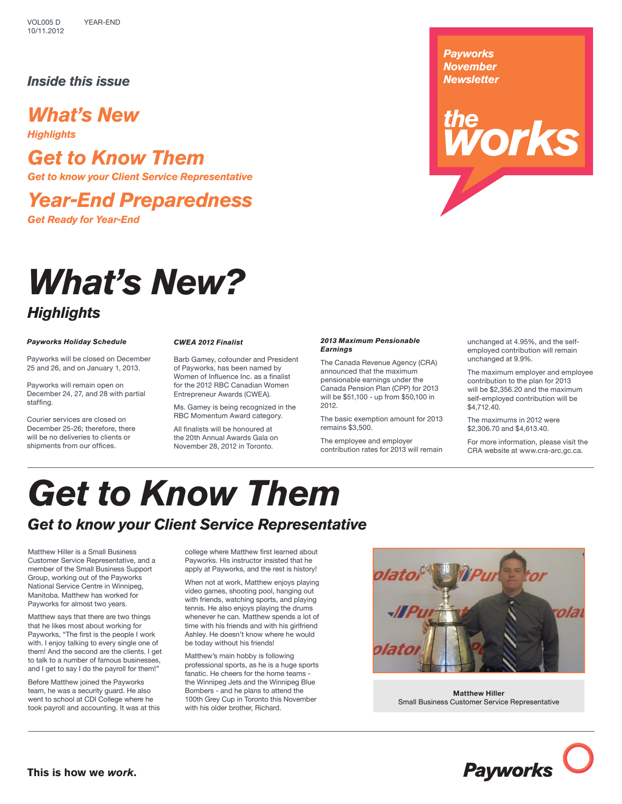# *Inside this issue*

# *What's New*

*Highlights*

*Get to Know Them Get to know your Client Service Representative*

*Year-End Preparedness*

*Get Ready for Year-End*

# *What's New? Highlights*

### *Payworks Holiday Schedule*

Payworks will be closed on December 25 and 26, and on January 1, 2013.

Payworks will remain open on December 24, 27, and 28 with partial staffing.

Courier services are closed on December 25-26; therefore, there will be no deliveries to clients or shipments from our offices.

## *CWEA 2012 Finalist*

Barb Gamey, cofounder and President of Payworks, has been named by Women of Influence Inc. as a finalist for the 2012 RBC Canadian Women Entrepreneur Awards (CWEA).

Ms. Gamey is being recognized in the RBC Momentum Award category.

All finalists will be honoured at the 20th Annual Awards Gala on November 28, 2012 in Toronto.

### *2013 Maximum Pensionable Earnings*

The Canada Revenue Agency (CRA) announced that the maximum pensionable earnings under the Canada Pension Plan (CPP) for 2013 will be \$51,100 - up from \$50,100 in 2012.

The basic exemption amount for 2013 remains \$3,500.

The employee and employer contribution rates for 2013 will remain unchanged at 4.95%, and the selfemployed contribution will remain unchanged at 9.9%.

orks

*Payworks November Newsletter*

*the*

The maximum employer and employee contribution to the plan for 2013 will be \$2,356.20 and the maximum self-employed contribution will be \$4,712.40.

The maximums in 2012 were \$2,306.70 and \$4,613.40.

For more information, please visit the CRA website at www.cra-arc.gc.ca.

# *Get to Know Them*

# *Get to know your Client Service Representative*

Matthew Hiller is a Small Business Customer Service Representative, and a member of the Small Business Support Group, working out of the Payworks National Service Centre in Winnipeg, Manitoba. Matthew has worked for Payworks for almost two years.

Matthew says that there are two things that he likes most about working for Payworks, "The first is the people I work with. I enjoy talking to every single one of them! And the second are the clients. I get to talk to a number of famous businesses, and I get to say I do the payroll for them!"

Before Matthew joined the Payworks team, he was a security guard. He also went to school at CDI College where he took payroll and accounting. It was at this

college where Matthew first learned about Payworks. His instructor insisted that he apply at Payworks, and the rest is history!

When not at work, Matthew enjoys playing video games, shooting pool, hanging out with friends, watching sports, and playing tennis. He also enjoys playing the drums whenever he can. Matthew spends a lot of time with his friends and with his girlfriend Ashley. He doesn't know where he would be today without his friends!

Matthew's main hobby is following professional sports, as he is a huge sports fanatic. He cheers for the home teams the Winnipeg Jets and the Winnipeg Blue Bombers - and he plans to attend the 100th Grey Cup in Toronto this November with his older brother, Richard.



**Matthew Hiller** Small Business Customer Service Representative